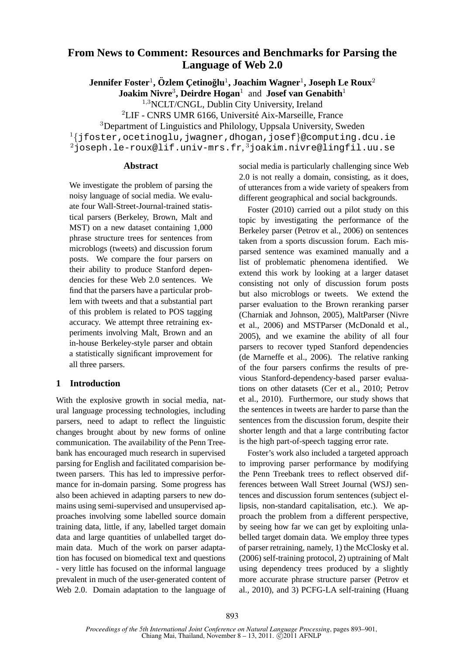# **From News to Comment: Resources and Benchmarks for Parsing the Language of Web 2.0**

 $\mathbf{Jennifer Foster}^1, \ddot{\mathbf{O}}$ zlem Çetinoğlu $^1, \mathbf{Joachim Wagner}^1, \mathbf{Joseph Le Roux}^2$ 

**Joakim Nivre**<sup>3</sup> **, Deirdre Hogan**<sup>1</sup> and **Josef van Genabith**<sup>1</sup>

<sup>1</sup>,<sup>3</sup>NCLT/CNGL, Dublin City University, Ireland

<sup>2</sup>LIF - CNRS UMR 6166, Université Aix-Marseille, France

<sup>3</sup>Department of Linguistics and Philology, Uppsala University, Sweden

 $1\{jfoster, octinoglu,jwagner,dhogan,josef\}$ @computing.dcu.ie

 $^2$ joseph.le-roux@lif.univ-mrs.fr, $^3$ joakim.nivre@lingfil.uu.se

## **Abstract**

We investigate the problem of parsing the noisy language of social media. We evaluate four Wall-Street-Journal-trained statistical parsers (Berkeley, Brown, Malt and MST) on a new dataset containing 1,000 phrase structure trees for sentences from microblogs (tweets) and discussion forum posts. We compare the four parsers on their ability to produce Stanford dependencies for these Web 2.0 sentences. We find that the parsers have a particular problem with tweets and that a substantial part of this problem is related to POS tagging accuracy. We attempt three retraining experiments involving Malt, Brown and an in-house Berkeley-style parser and obtain a statistically significant improvement for all three parsers.

## **1 Introduction**

With the explosive growth in social media, natural language processing technologies, including parsers, need to adapt to reflect the linguistic changes brought about by new forms of online communication. The availability of the Penn Treebank has encouraged much research in supervised parsing for English and facilitated comparision between parsers. This has led to impressive performance for in-domain parsing. Some progress has also been achieved in adapting parsers to new domains using semi-supervised and unsupervised approaches involving some labelled source domain training data, little, if any, labelled target domain data and large quantities of unlabelled target domain data. Much of the work on parser adaptation has focused on biomedical text and questions - very little has focused on the informal language prevalent in much of the user-generated content of Web 2.0. Domain adaptation to the language of social media is particularly challenging since Web 2.0 is not really a domain, consisting, as it does, of utterances from a wide variety of speakers from different geographical and social backgrounds.

Foster (2010) carried out a pilot study on this topic by investigating the performance of the Berkeley parser (Petrov et al., 2006) on sentences taken from a sports discussion forum. Each misparsed sentence was examined manually and a list of problematic phenomena identified. We extend this work by looking at a larger dataset consisting not only of discussion forum posts but also microblogs or tweets. We extend the parser evaluation to the Brown reranking parser (Charniak and Johnson, 2005), MaltParser (Nivre et al., 2006) and MSTParser (McDonald et al., 2005), and we examine the ability of all four parsers to recover typed Stanford dependencies (de Marneffe et al., 2006). The relative ranking of the four parsers confirms the results of previous Stanford-dependency-based parser evaluations on other datasets (Cer et al., 2010; Petrov et al., 2010). Furthermore, our study shows that the sentences in tweets are harder to parse than the sentences from the discussion forum, despite their shorter length and that a large contributing factor is the high part-of-speech tagging error rate.

Foster's work also included a targeted approach to improving parser performance by modifying the Penn Treebank trees to reflect observed differences between Wall Street Journal (WSJ) sentences and discussion forum sentences (subject ellipsis, non-standard capitalisation, etc.). We approach the problem from a different perspective, by seeing how far we can get by exploiting unlabelled target domain data. We employ three types of parser retraining, namely, 1) the McClosky et al. (2006) self-training protocol, 2) uptraining of Malt using dependency trees produced by a slightly more accurate phrase structure parser (Petrov et al., 2010), and 3) PCFG-LA self-training (Huang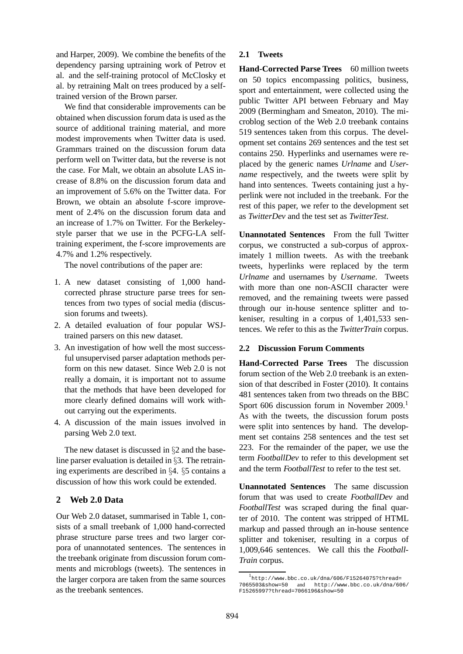and Harper, 2009). We combine the benefits of the dependency parsing uptraining work of Petrov et al. and the self-training protocol of McClosky et al. by retraining Malt on trees produced by a selftrained version of the Brown parser.

We find that considerable improvements can be obtained when discussion forum data is used as the source of additional training material, and more modest improvements when Twitter data is used. Grammars trained on the discussion forum data perform well on Twitter data, but the reverse is not the case. For Malt, we obtain an absolute LAS increase of 8.8% on the discussion forum data and an improvement of 5.6% on the Twitter data. For Brown, we obtain an absolute f-score improvement of 2.4% on the discussion forum data and an increase of 1.7% on Twitter. For the Berkeleystyle parser that we use in the PCFG-LA selftraining experiment, the f-score improvements are 4.7% and 1.2% respectively.

The novel contributions of the paper are:

- 1. A new dataset consisting of 1,000 handcorrected phrase structure parse trees for sentences from two types of social media (discussion forums and tweets).
- 2. A detailed evaluation of four popular WSJtrained parsers on this new dataset.
- 3. An investigation of how well the most successful unsupervised parser adaptation methods perform on this new dataset. Since Web 2.0 is not really a domain, it is important not to assume that the methods that have been developed for more clearly defined domains will work without carrying out the experiments.
- 4. A discussion of the main issues involved in parsing Web 2.0 text.

The new dataset is discussed in §2 and the baseline parser evaluation is detailed in §3. The retraining experiments are described in §4. §5 contains a discussion of how this work could be extended.

## **2 Web 2.0 Data**

Our Web 2.0 dataset, summarised in Table 1, consists of a small treebank of 1,000 hand-corrected phrase structure parse trees and two larger corpora of unannotated sentences. The sentences in the treebank originate from discussion forum comments and microblogs (tweets). The sentences in the larger corpora are taken from the same sources as the treebank sentences.

### **2.1 Tweets**

**Hand-Corrected Parse Trees** 60 million tweets on 50 topics encompassing politics, business, sport and entertainment, were collected using the public Twitter API between February and May 2009 (Bermingham and Smeaton, 2010). The microblog section of the Web 2.0 treebank contains 519 sentences taken from this corpus. The development set contains 269 sentences and the test set contains 250. Hyperlinks and usernames were replaced by the generic names *Urlname* and *Username* respectively, and the tweets were split by hand into sentences. Tweets containing just a hyperlink were not included in the treebank. For the rest of this paper, we refer to the development set as *TwitterDev* and the test set as *TwitterTest*.

**Unannotated Sentences** From the full Twitter corpus, we constructed a sub-corpus of approximately 1 million tweets. As with the treebank tweets, hyperlinks were replaced by the term *Urlname* and usernames by *Username*. Tweets with more than one non-ASCII character were removed, and the remaining tweets were passed through our in-house sentence splitter and tokeniser, resulting in a corpus of 1,401,533 sentences. We refer to this as the *TwitterTrain* corpus.

#### **2.2 Discussion Forum Comments**

**Hand-Corrected Parse Trees** The discussion forum section of the Web 2.0 treebank is an extension of that described in Foster (2010). It contains 481 sentences taken from two threads on the BBC Sport 606 discussion forum in November  $2009$ .<sup>1</sup> As with the tweets, the discussion forum posts were split into sentences by hand. The development set contains 258 sentences and the test set 223. For the remainder of the paper, we use the term *FootballDev* to refer to this development set and the term *FootballTest* to refer to the test set.

**Unannotated Sentences** The same discussion forum that was used to create *FootballDev* and *FootballTest* was scraped during the final quarter of 2010. The content was stripped of HTML markup and passed through an in-house sentence splitter and tokeniser, resulting in a corpus of 1,009,646 sentences. We call this the *Football-Train* corpus.

<sup>1</sup> http://www.bbc.co.uk/dna/606/F15264075?thread= 7065503&show=50 and http://www.bbc.co.uk/dna/606/ F15265997?thread=7066196&show=50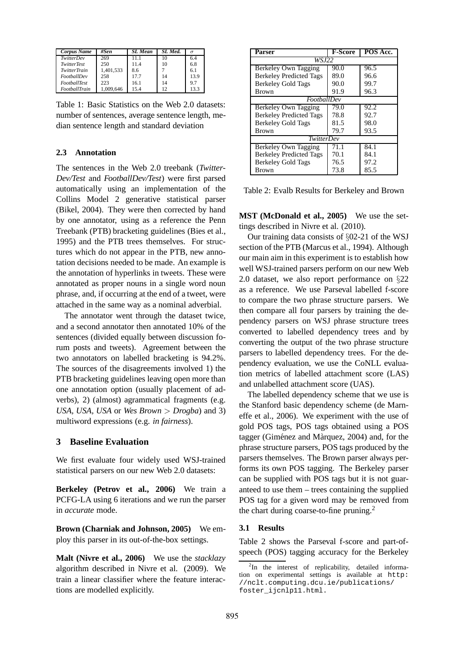| Corpus Name         | #Sen      | <b>SL</b> Mean | SL Med. | $\sigma$ |
|---------------------|-----------|----------------|---------|----------|
| TwitterDev          | 269       | 11 1           | 10      | 6.4      |
| <b>TwitterTest</b>  | 250       | 11.4           | 10      | 6.8      |
| TwitterTrain        | 1,401,533 | 8.6            |         | 6.1      |
| FootballDev         | 258       | 17.7           | 14      | 13.9     |
| <b>FootballTest</b> | 223       | 16.1           | 14      | 9.7      |
| FootballTrain       | 1.009.646 | 154            | 12      | 13.3     |

Table 1: Basic Statistics on the Web 2.0 datasets: number of sentences, average sentence length, median sentence length and standard deviation

## **2.3 Annotation**

The sentences in the Web 2.0 treebank (*Twitter-Dev/Test* and *FootballDev/Test*) were first parsed automatically using an implementation of the Collins Model 2 generative statistical parser (Bikel, 2004). They were then corrected by hand by one annotator, using as a reference the Penn Treebank (PTB) bracketing guidelines (Bies et al., 1995) and the PTB trees themselves. For structures which do not appear in the PTB, new annotation decisions needed to be made. An example is the annotation of hyperlinks in tweets. These were annotated as proper nouns in a single word noun phrase, and, if occurring at the end of a tweet, were attached in the same way as a nominal adverbial.

The annotator went through the dataset twice, and a second annotator then annotated 10% of the sentences (divided equally between discussion forum posts and tweets). Agreement between the two annotators on labelled bracketing is 94.2%. The sources of the disagreements involved 1) the PTB bracketing guidelines leaving open more than one annotation option (usually placement of adverbs), 2) (almost) agrammatical fragments (e.g. *USA, USA, USA* or *Wes Brown* > *Drogba*) and 3) multiword expressions (e.g. *in fairness*).

## **3 Baseline Evaluation**

We first evaluate four widely used WSJ-trained statistical parsers on our new Web 2.0 datasets:

**Berkeley (Petrov et al., 2006)** We train a PCFG-LA using 6 iterations and we run the parser in *accurate* mode.

**Brown (Charniak and Johnson, 2005)** We employ this parser in its out-of-the-box settings.

**Malt (Nivre et al., 2006)** We use the *stacklazy* algorithm described in Nivre et al. (2009). We train a linear classifier where the feature interactions are modelled explicitly.

| Parser                         | F-Score | POS Acc. |  |  |  |
|--------------------------------|---------|----------|--|--|--|
| WSJ22                          |         |          |  |  |  |
| Berkeley Own Tagging           | 90.0    | 96.5     |  |  |  |
| <b>Berkeley Predicted Tags</b> | 89.0    | 96.6     |  |  |  |
| <b>Berkeley Gold Tags</b>      | 90.0    | 99.7     |  |  |  |
| <b>Brown</b>                   | 91.9    | 96.3     |  |  |  |
| FootballDev                    |         |          |  |  |  |
| Berkeley Own Tagging           | 79.0    | 92.2     |  |  |  |
| <b>Berkeley Predicted Tags</b> | 78.8    | 92.7     |  |  |  |
| <b>Berkeley Gold Tags</b>      | 81.5    | 98.0     |  |  |  |
| <b>Brown</b>                   | 79.7    | 93.5     |  |  |  |
| TwitterDev                     |         |          |  |  |  |
| Berkeley Own Tagging           | 71.1    | 84.1     |  |  |  |
| <b>Berkeley Predicted Tags</b> | 70.1    | 84.1     |  |  |  |
| <b>Berkeley Gold Tags</b>      | 76.5    | 97.2     |  |  |  |
| Brown                          | 73.8    | 85.5     |  |  |  |

Table 2: Evalb Results for Berkeley and Brown

**MST (McDonald et al., 2005)** We use the settings described in Nivre et al. (2010).

Our training data consists of §02-21 of the WSJ section of the PTB (Marcus et al., 1994). Although our main aim in this experiment is to establish how well WSJ-trained parsers perform on our new Web 2.0 dataset, we also report performance on §22 as a reference. We use Parseval labelled f-score to compare the two phrase structure parsers. We then compare all four parsers by training the dependency parsers on WSJ phrase structure trees converted to labelled dependency trees and by converting the output of the two phrase structure parsers to labelled dependency trees. For the dependency evaluation, we use the CoNLL evaluation metrics of labelled attachment score (LAS) and unlabelled attachment score (UAS).

The labelled dependency scheme that we use is the Stanford basic dependency scheme (de Marneffe et al., 2006). We experiment with the use of gold POS tags, POS tags obtained using a POS tagger (Giménez and Màrquez, 2004) and, for the phrase structure parsers, POS tags produced by the parsers themselves. The Brown parser always performs its own POS tagging. The Berkeley parser can be supplied with POS tags but it is not guaranteed to use them – trees containing the supplied POS tag for a given word may be removed from the chart during coarse-to-fine pruning.<sup>2</sup>

## **3.1 Results**

Table 2 shows the Parseval f-score and part-ofspeech (POS) tagging accuracy for the Berkeley

<sup>&</sup>lt;sup>2</sup>In the interest of replicability, detailed information on experimental settings is available at http: //nclt.computing.dcu.ie/publications/ foster\_ijcnlp11.html.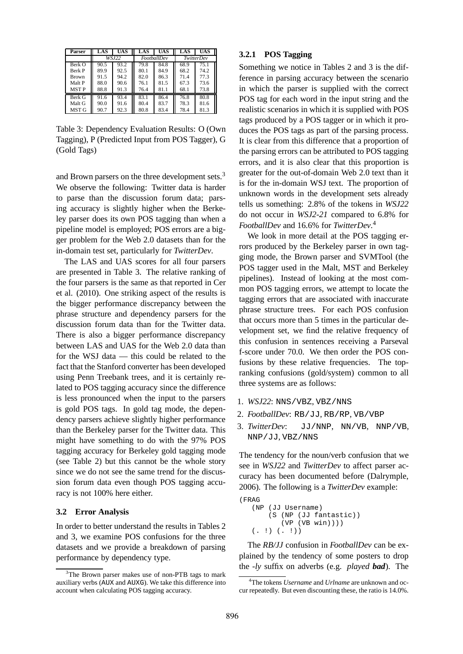| <b>Parser</b> | LAS   | UAS  | LAS         | UAS  | LAS        | UAS  |
|---------------|-------|------|-------------|------|------------|------|
|               | WSJ22 |      | FootballDev |      | TwitterDev |      |
| Berk O        | 90.5  | 93.2 | 79.8        | 84.8 | 68.9       | 75.1 |
| Berk P        | 89.9  | 92.5 | 80.1        | 84.9 | 68.2       | 74.2 |
| <b>Brown</b>  | 91.5  | 94.2 | 82.0        | 86.3 | 71.4       | 77.3 |
| Malt P        | 88.0  | 90.6 | 76.1        | 81.5 | 67.3       | 73.6 |
| MST P         | 88.8  | 91.3 | 76.4        | 81.1 | 68.1       | 73.8 |
| Berk G        | 91.6  | 93.4 | 83.1        | 86.4 | 76.8       | 80.8 |
| Malt G        | 90.0  | 91.6 | 80.4        | 83.7 | 78.3       | 81.6 |
| MST G         | 90.7  | 92.3 | 80.8        | 83.4 | 78.4       | 81.3 |

Table 3: Dependency Evaluation Results: O (Own Tagging), P (Predicted Input from POS Tagger), G (Gold Tags)

and Brown parsers on the three development sets.<sup>3</sup> We observe the following: Twitter data is harder to parse than the discussion forum data; parsing accuracy is slightly higher when the Berkeley parser does its own POS tagging than when a pipeline model is employed; POS errors are a bigger problem for the Web 2.0 datasets than for the in-domain test set, particularly for *TwitterDev*.

The LAS and UAS scores for all four parsers are presented in Table 3. The relative ranking of the four parsers is the same as that reported in Cer et al. (2010). One striking aspect of the results is the bigger performance discrepancy between the phrase structure and dependency parsers for the discussion forum data than for the Twitter data. There is also a bigger performance discrepancy between LAS and UAS for the Web 2.0 data than for the WSJ data — this could be related to the fact that the Stanford converter has been developed using Penn Treebank trees, and it is certainly related to POS tagging accuracy since the difference is less pronounced when the input to the parsers is gold POS tags. In gold tag mode, the dependency parsers achieve slightly higher performance than the Berkeley parser for the Twitter data. This might have something to do with the 97% POS tagging accuracy for Berkeley gold tagging mode (see Table 2) but this cannot be the whole story since we do not see the same trend for the discussion forum data even though POS tagging accuracy is not 100% here either.

#### **3.2 Error Analysis**

In order to better understand the results in Tables 2 and 3, we examine POS confusions for the three datasets and we provide a breakdown of parsing performance by dependency type.

#### **3.2.1 POS Tagging**

Something we notice in Tables 2 and 3 is the difference in parsing accuracy between the scenario in which the parser is supplied with the correct POS tag for each word in the input string and the realistic scenarios in which it is supplied with POS tags produced by a POS tagger or in which it produces the POS tags as part of the parsing process. It is clear from this difference that a proportion of the parsing errors can be attributed to POS tagging errors, and it is also clear that this proportion is greater for the out-of-domain Web 2.0 text than it is for the in-domain WSJ text. The proportion of unknown words in the development sets already tells us something: 2.8% of the tokens in *WSJ22* do not occur in *WSJ2-21* compared to 6.8% for *FootballDev* and 16.6% for *TwitterDev*. 4

We look in more detail at the POS tagging errors produced by the Berkeley parser in own tagging mode, the Brown parser and SVMTool (the POS tagger used in the Malt, MST and Berkeley pipelines). Instead of looking at the most common POS tagging errors, we attempt to locate the tagging errors that are associated with inaccurate phrase structure trees. For each POS confusion that occurs more than 5 times in the particular development set, we find the relative frequency of this confusion in sentences receiving a Parseval f-score under 70.0. We then order the POS confusions by these relative frequencies. The topranking confusions (gold/system) common to all three systems are as follows:

- 1. *WSJ22*: NNS/VBZ, VBZ/NNS
- 2. *FootballDev*: RB/JJ, RB/RP, VB/VBP
- 3. *TwitterDev*: JJ/NNP, NN/VB, NNP/VB, NNP/JJ, VBZ/NNS

The tendency for the noun/verb confusion that we see in *WSJ22* and *TwitterDev* to affect parser accuracy has been documented before (Dalrymple, 2006). The following is a *TwitterDev* example:

```
(FRAG
(NP (JJ Username)
    (S (NP (JJ fantastic))
       (VP (VB win))))
( . !) ( . !)
```
The *RB/JJ* confusion in *FootballDev* can be explained by the tendency of some posters to drop the *-ly* suffix on adverbs (e.g. *played bad*). The

<sup>&</sup>lt;sup>3</sup>The Brown parser makes use of non-PTB tags to mark auxiliary verbs (AUX and AUXG). We take this difference into account when calculating POS tagging accuracy.

<sup>4</sup>The tokens *Username* and *Urlname* are unknown and occur repeatedly. But even discounting these, the ratio is 14.0%.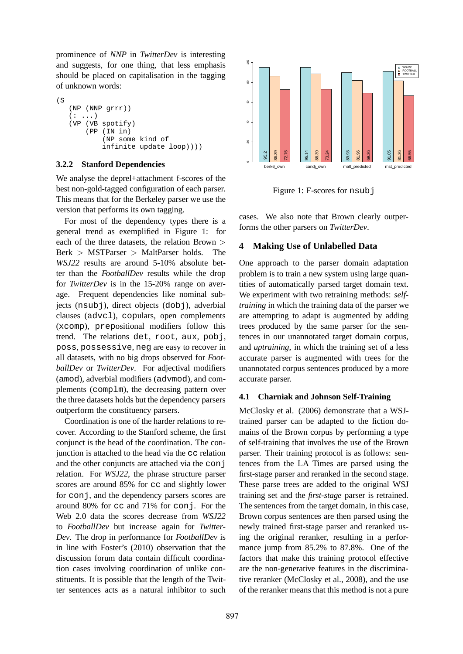prominence of *NNP* in *TwitterDev* is interesting and suggests, for one thing, that less emphasis should be placed on capitalisation in the tagging of unknown words:

```
\sqrt{S}(NP (NNP grrr))
(: . . .)(VP (VB spotify)
     (PP (IN in)
         (NP some kind of
         infinite update loop))))
```
## **3.2.2 Stanford Dependencies**

We analyse the deprel+attachment f-scores of the best non-gold-tagged configuration of each parser. This means that for the Berkeley parser we use the version that performs its own tagging.

For most of the dependency types there is a general trend as exemplified in Figure 1: for each of the three datasets, the relation Brown  $>$ Berk > MSTParser > MaltParser holds. The *WSJ22* results are around 5-10% absolute better than the *FootballDev* results while the drop for *TwitterDev* is in the 15-20% range on average. Frequent dependencies like nominal subjects (nsubj), direct objects (dobj), adverbial clauses (advcl), copulars, open complements (xcomp), prepositional modifiers follow this trend. The relations det, root, aux, pobj, poss, possessive, neg are easy to recover in all datasets, with no big drops observed for *FootballDev* or *TwitterDev*. For adjectival modifiers (amod), adverbial modifiers (advmod), and complements (complm), the decreasing pattern over the three datasets holds but the dependency parsers outperform the constituency parsers.

Coordination is one of the harder relations to recover. According to the Stanford scheme, the first conjunct is the head of the coordination. The conjunction is attached to the head via the cc relation and the other conjuncts are attached via the conj relation. For *WSJ22*, the phrase structure parser scores are around 85% for cc and slightly lower for conj, and the dependency parsers scores are around 80% for cc and 71% for conj. For the Web 2.0 data the scores decrease from *WSJ22* to *FootballDev* but increase again for *Twitter-Dev*. The drop in performance for *FootballDev* is in line with Foster's (2010) observation that the discussion forum data contain difficult coordination cases involving coordination of unlike constituents. It is possible that the length of the Twitter sentences acts as a natural inhibitor to such



Figure 1: F-scores for nsubj

cases. We also note that Brown clearly outperforms the other parsers on *TwitterDev*.

## **4 Making Use of Unlabelled Data**

One approach to the parser domain adaptation problem is to train a new system using large quantities of automatically parsed target domain text. We experiment with two retraining methods: *selftraining* in which the training data of the parser we are attempting to adapt is augmented by adding trees produced by the same parser for the sentences in our unannotated target domain corpus, and *uptraining*, in which the training set of a less accurate parser is augmented with trees for the unannotated corpus sentences produced by a more accurate parser.

## **4.1 Charniak and Johnson Self-Training**

McClosky et al. (2006) demonstrate that a WSJtrained parser can be adapted to the fiction domains of the Brown corpus by performing a type of self-training that involves the use of the Brown parser. Their training protocol is as follows: sentences from the LA Times are parsed using the first-stage parser and reranked in the second stage. These parse trees are added to the original WSJ training set and the *first-stage* parser is retrained. The sentences from the target domain, in this case, Brown corpus sentences are then parsed using the newly trained first-stage parser and reranked using the original reranker, resulting in a performance jump from 85.2% to 87.8%. One of the factors that make this training protocol effective are the non-generative features in the discriminative reranker (McClosky et al., 2008), and the use of the reranker means that this method is not a pure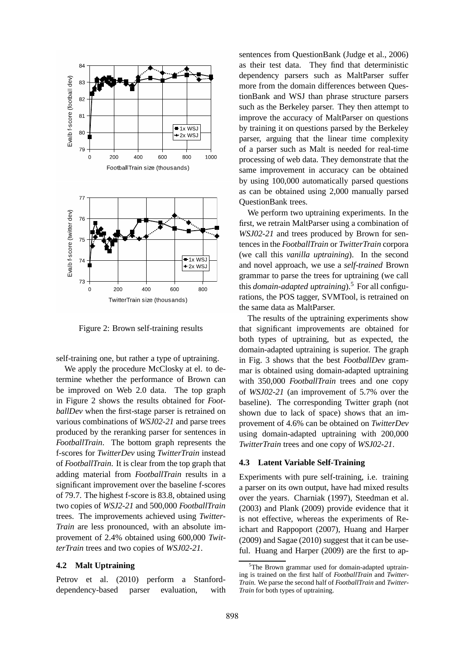

Figure 2: Brown self-training results

self-training one, but rather a type of uptraining.

We apply the procedure McClosky at el. to determine whether the performance of Brown can be improved on Web 2.0 data. The top graph in Figure 2 shows the results obtained for *FootballDev* when the first-stage parser is retrained on various combinations of *WSJ02-21* and parse trees produced by the reranking parser for sentences in *FootballTrain*. The bottom graph represents the f-scores for *TwitterDev* using *TwitterTrain* instead of *FootballTrain*. It is clear from the top graph that adding material from *FootballTrain* results in a significant improvement over the baseline f-scores of 79.7. The highest f-score is 83.8, obtained using two copies of *WSJ2-21* and 500,000 *FootballTrain* trees. The improvements achieved using *Twitter-Train* are less pronounced, with an absolute improvement of 2.4% obtained using 600,000 *TwitterTrain* trees and two copies of *WSJ02-21*.

#### **4.2 Malt Uptraining**

Petrov et al. (2010) perform a Stanforddependency-based parser evaluation, with sentences from QuestionBank (Judge et al., 2006) as their test data. They find that deterministic dependency parsers such as MaltParser suffer more from the domain differences between QuestionBank and WSJ than phrase structure parsers such as the Berkeley parser. They then attempt to improve the accuracy of MaltParser on questions by training it on questions parsed by the Berkeley parser, arguing that the linear time complexity of a parser such as Malt is needed for real-time processing of web data. They demonstrate that the same improvement in accuracy can be obtained by using 100,000 automatically parsed questions as can be obtained using 2,000 manually parsed QuestionBank trees.

We perform two uptraining experiments. In the first, we retrain MaltParser using a combination of *WSJ02-21* and trees produced by Brown for sentences in the *FootballTrain* or *TwitterTrain* corpora (we call this *vanilla uptraining*). In the second and novel approach, we use a *self-trained* Brown grammar to parse the trees for uptraining (we call this *domain-adapted uptraining*).<sup>5</sup> For all configurations, the POS tagger, SVMTool, is retrained on the same data as MaltParser.

The results of the uptraining experiments show that significant improvements are obtained for both types of uptraining, but as expected, the domain-adapted uptraining is superior. The graph in Fig. 3 shows that the best *FootballDev* grammar is obtained using domain-adapted uptraining with 350,000 *FootballTrain* trees and one copy of *WSJ02-21* (an improvement of 5.7% over the baseline). The corresponding Twitter graph (not shown due to lack of space) shows that an improvement of 4.6% can be obtained on *TwitterDev* using domain-adapted uptraining with 200,000 *TwitterTrain* trees and one copy of *WSJ02-21*.

## **4.3 Latent Variable Self-Training**

Experiments with pure self-training, i.e. training a parser on its own output, have had mixed results over the years. Charniak (1997), Steedman et al. (2003) and Plank (2009) provide evidence that it is not effective, whereas the experiments of Reichart and Rappoport (2007), Huang and Harper (2009) and Sagae (2010) suggest that it can be useful. Huang and Harper (2009) are the first to ap-

 $5$ The Brown grammar used for domain-adapted uptraining is trained on the first half of *FootballTrain* and *Twitter-Train*. We parse the second half of *FootballTrain* and *Twitter-Train* for both types of uptraining.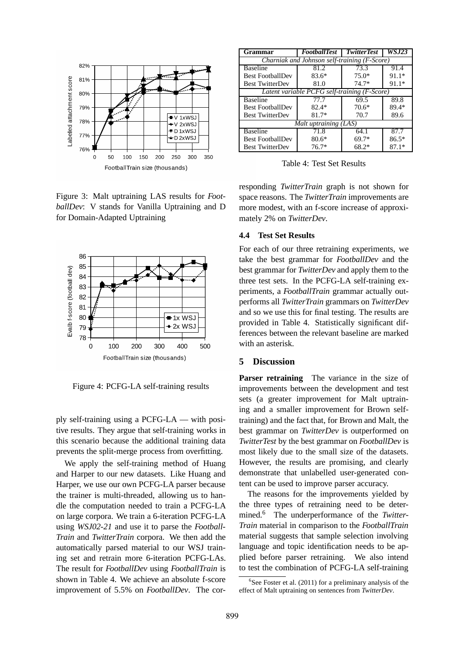

Figure 3: Malt uptraining LAS results for *FootballDev*: V stands for Vanilla Uptraining and D for Domain-Adapted Uptraining



Figure 4: PCFG-LA self-training results

ply self-training using a PCFG-LA — with positive results. They argue that self-training works in this scenario because the additional training data prevents the split-merge process from overfitting.

We apply the self-training method of Huang and Harper to our new datasets. Like Huang and Harper, we use our own PCFG-LA parser because the trainer is multi-threaded, allowing us to handle the computation needed to train a PCFG-LA on large corpora. We train a 6-iteration PCFG-LA using *WSJ02-21* and use it to parse the *Football-Train* and *TwitterTrain* corpora. We then add the automatically parsed material to our WSJ training set and retrain more 6-iteration PCFG-LAs. The result for *FootballDev* using *FootballTrain* is shown in Table 4. We achieve an absolute f-score improvement of 5.5% on *FootballDev*. The cor-

| Grammar                                      | <b>FootballTest</b> | <b>TwitterTest</b> | <i>WSJ23</i> |  |  |
|----------------------------------------------|---------------------|--------------------|--------------|--|--|
| Charniak and Johnson self-training (F-Score) |                     |                    |              |  |  |
| <b>Baseline</b>                              | 81.2                | 73.3               | 91.4         |  |  |
| <b>Best FootballDev</b>                      | $83.6*$             | $75.0*$            | $91.1*$      |  |  |
| <b>Best TwitterDev</b>                       | 81.0                | $74.7*$            | $91.1*$      |  |  |
| Latent variable PCFG self-training (F-Score) |                     |                    |              |  |  |
| <b>Baseline</b>                              | 77.7                | 69.5               | 89.8         |  |  |
| <b>Best FootballDev</b>                      | $82.4*$             | $70.6*$            | 89.4*        |  |  |
| <b>Best TwitterDev</b>                       | $81.7*$             | 70.7               | 89.6         |  |  |
| Malt uptraining (LAS)                        |                     |                    |              |  |  |
| <b>Baseline</b>                              | 71.8                | 64.1               | 87.7         |  |  |
| <b>Best FootballDev</b>                      | $80.6*$             | $69.7*$            | $86.5*$      |  |  |
| <b>Best TwitterDev</b>                       | $76.7*$             | $68.2*$            | $87.1*$      |  |  |

Table 4: Test Set Results

responding *TwitterTrain* graph is not shown for space reasons. The *TwitterTrain* improvements are more modest, with an f-score increase of approximately 2% on *TwitterDev*.

#### **4.4 Test Set Results**

For each of our three retraining experiments, we take the best grammar for *FootballDev* and the best grammar for *TwitterDev* and apply them to the three test sets. In the PCFG-LA self-training experiments, a *FootballTrain* grammar actually outperforms all *TwitterTrain* grammars on *TwitterDev* and so we use this for final testing. The results are provided in Table 4. Statistically significant differences between the relevant baseline are marked with an asterisk.

## **5 Discussion**

**Parser retraining** The variance in the size of improvements between the development and test sets (a greater improvement for Malt uptraining and a smaller improvement for Brown selftraining) and the fact that, for Brown and Malt, the best grammar on *TwitterDev* is outperformed on *TwitterTest* by the best grammar on *FootballDev* is most likely due to the small size of the datasets. However, the results are promising, and clearly demonstrate that unlabelled user-generated content can be used to improve parser accuracy.

The reasons for the improvements yielded by the three types of retraining need to be determined.<sup>6</sup> The underperformance of the *Twitter-Train* material in comparison to the *FootballTrain* material suggests that sample selection involving language and topic identification needs to be applied before parser retraining. We also intend to test the combination of PCFG-LA self-training

 $6$ See Foster et al. (2011) for a preliminary analysis of the effect of Malt uptraining on sentences from *TwitterDev*.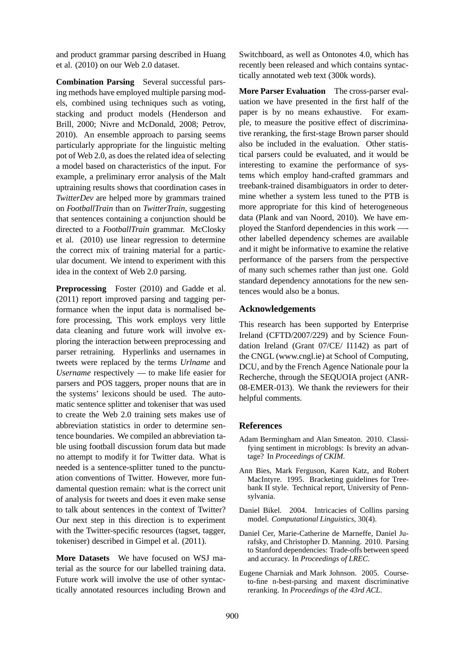and product grammar parsing described in Huang et al. (2010) on our Web 2.0 dataset.

**Combination Parsing** Several successful parsing methods have employed multiple parsing models, combined using techniques such as voting, stacking and product models (Henderson and Brill, 2000; Nivre and McDonald, 2008; Petrov, 2010). An ensemble approach to parsing seems particularly appropriate for the linguistic melting pot of Web 2.0, as does the related idea of selecting a model based on characteristics of the input. For example, a preliminary error analysis of the Malt uptraining results shows that coordination cases in *TwitterDev* are helped more by grammars trained on *FootballTrain* than on *TwitterTrain*, suggesting that sentences containing a conjunction should be directed to a *FootballTrain* grammar. McClosky et al. (2010) use linear regression to determine the correct mix of training material for a particular document. We intend to experiment with this idea in the context of Web 2.0 parsing.

**Preprocessing** Foster (2010) and Gadde et al. (2011) report improved parsing and tagging performance when the input data is normalised before processing, This work employs very little data cleaning and future work will involve exploring the interaction between preprocessing and parser retraining. Hyperlinks and usernames in tweets were replaced by the terms *Urlname* and *Username* respectively — to make life easier for parsers and POS taggers, proper nouns that are in the systems' lexicons should be used. The automatic sentence splitter and tokeniser that was used to create the Web 2.0 training sets makes use of abbreviation statistics in order to determine sentence boundaries. We compiled an abbreviation table using football discussion forum data but made no attempt to modify it for Twitter data. What is needed is a sentence-splitter tuned to the punctuation conventions of Twitter. However, more fundamental question remain: what is the correct unit of analysis for tweets and does it even make sense to talk about sentences in the context of Twitter? Our next step in this direction is to experiment with the Twitter-specific resources (tagset, tagger, tokeniser) described in Gimpel et al. (2011).

**More Datasets** We have focused on WSJ material as the source for our labelled training data. Future work will involve the use of other syntactically annotated resources including Brown and Switchboard, as well as Ontonotes 4.0, which has recently been released and which contains syntactically annotated web text (300k words).

**More Parser Evaluation** The cross-parser evaluation we have presented in the first half of the paper is by no means exhaustive. For example, to measure the positive effect of discriminative reranking, the first-stage Brown parser should also be included in the evaluation. Other statistical parsers could be evaluated, and it would be interesting to examine the performance of systems which employ hand-crafted grammars and treebank-trained disambiguators in order to determine whether a system less tuned to the PTB is more appropriate for this kind of heterogeneous data (Plank and van Noord, 2010). We have employed the Stanford dependencies in this work — other labelled dependency schemes are available and it might be informative to examine the relative performance of the parsers from the perspective of many such schemes rather than just one. Gold standard dependency annotations for the new sentences would also be a bonus.

## **Acknowledgements**

This research has been supported by Enterprise Ireland (CFTD/2007/229) and by Science Foundation Ireland (Grant 07/CE/ I1142) as part of the CNGL (www.cngl.ie) at School of Computing, DCU, and by the French Agence Nationale pour la Recherche, through the SEQUOIA project (ANR-08-EMER-013). We thank the reviewers for their helpful comments.

#### **References**

- Adam Bermingham and Alan Smeaton. 2010. Classifying sentiment in microblogs: Is brevity an advantage? In *Proceedings of CKIM*.
- Ann Bies, Mark Ferguson, Karen Katz, and Robert MacIntyre. 1995. Bracketing guidelines for Treebank II style. Technical report, University of Pennsylvania.
- Daniel Bikel. 2004. Intricacies of Collins parsing model. *Computational Linguistics*, 30(4).
- Daniel Cer, Marie-Catherine de Marneffe, Daniel Jurafsky, and Christopher D. Manning. 2010. Parsing to Stanford dependencies: Trade-offs between speed and accuracy. In *Proceedings of LREC*.
- Eugene Charniak and Mark Johnson. 2005. Courseto-fine n-best-parsing and maxent discriminative reranking. In *Proceedings of the 43rd ACL*.